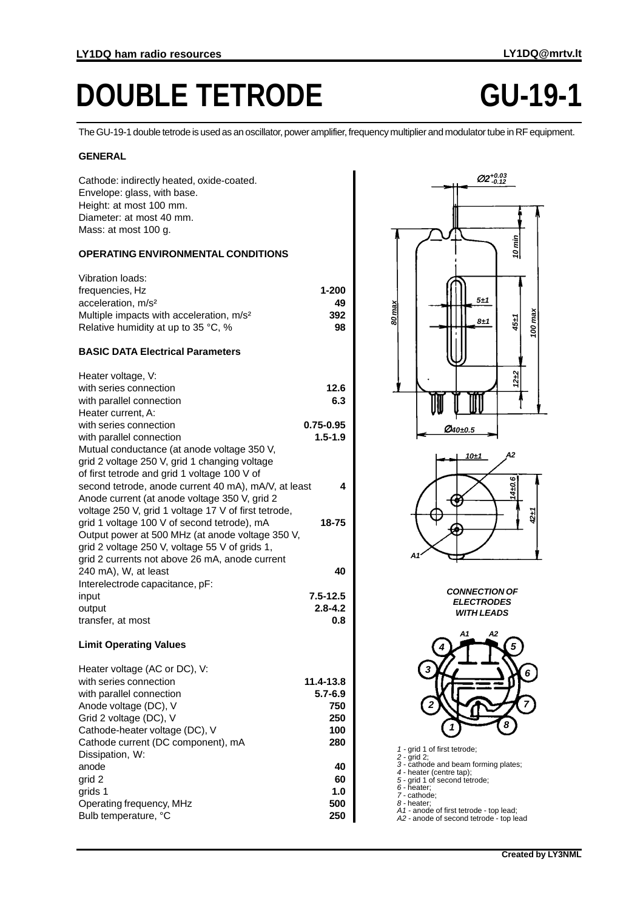# **DOUBLE TETRODE GU-19-1**

The GU-19-1 double tetrode is used as an oscillator, power amplifier, frequency multiplier and modulator tube in RF equipment.

### **GENERAL**

Cathode: indirectly heated, oxide-coated. Envelope: glass, with base. Height: at most 100 mm. Diameter: at most 40 mm. Mass: at most 100 g.

# **OPERATING ENVIRONMENTAL CONDITIONS**

| Vibration loads:                                     |       |
|------------------------------------------------------|-------|
| frequencies, Hz                                      | 1-200 |
| acceleration, m/s <sup>2</sup>                       | 49    |
| Multiple impacts with acceleration, m/s <sup>2</sup> | 392   |
| Relative humidity at up to 35 $\degree$ C, %         | 98    |

# **BASIC DATA Electrical Parameters**

| Heater voltage, V:                                   |              |
|------------------------------------------------------|--------------|
| with series connection                               | 12.6         |
| with parallel connection                             | 6.3          |
| Heater current, A:                                   |              |
| with series connection                               | 0.75-0.95    |
| with parallel connection                             | $1.5 - 1.9$  |
| Mutual conductance (at anode voltage 350 V,          |              |
| grid 2 voltage 250 V, grid 1 changing voltage        |              |
| of first tetrode and grid 1 voltage 100 V of         |              |
| second tetrode, anode current 40 mA), mA/V, at least | 4            |
| Anode current (at anode voltage 350 V, grid 2        |              |
| voltage 250 V, grid 1 voltage 17 V of first tetrode, |              |
| grid 1 voltage 100 V of second tetrode), mA          | 18-75        |
| Output power at 500 MHz (at anode voltage 350 V,     |              |
| grid 2 voltage 250 V, voltage 55 V of grids 1,       |              |
| grid 2 currents not above 26 mA, anode current       |              |
| 240 mA), W, at least                                 | 40           |
| Interelectrode capacitance, pF:                      |              |
| input                                                | $7.5 - 12.5$ |
| output                                               | $2.8 - 4.2$  |
| transfer, at most                                    | 0.8          |
|                                                      |              |

# **Limit Operating Values**

| Heater voltage (AC or DC), V:      |             |
|------------------------------------|-------------|
| with series connection             | 11.4-13.8   |
| with parallel connection           | $5.7 - 6.9$ |
| Anode voltage (DC), V              | 750         |
| Grid 2 voltage (DC), V             | 250         |
| Cathode-heater voltage (DC), V     | 100         |
| Cathode current (DC component), mA | 280         |
| Dissipation, W:                    |             |
| anode                              | 40          |
| grid 2                             | 60          |
| grids 1                            | 1.0         |
| Operating frequency, MHz           | 500         |
| Bulb temperature, °C               | 250         |





**CONNECTION OF ELECTRODES WITH LEADS**



- 1 grid 1 of first tetrode; 2 grid 2; 3 cathode and beam forming plates; 4 heater (centre tap); 5 grid 1 of second tetrode; 6 heater;
- 
- 
- 
- 
- 7 cathode; 8 heater; A1 anode of first tetrode top lead; A2 anode of second tetrode top lead
-